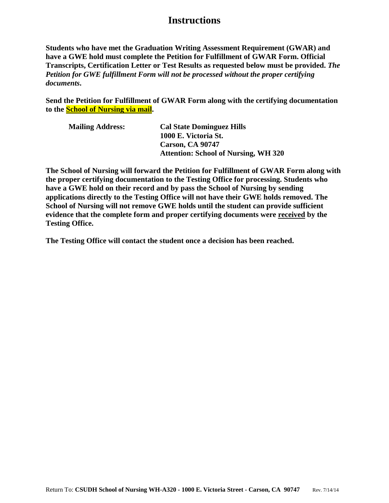## **Instructions**

**Students who have met the Graduation Writing Assessment Requirement (GWAR) and have a GWE hold must complete the Petition for Fulfillment of GWAR Form. Official Transcripts, Certification Letter or Test Results as requested below must be provided.** *The Petition for GWE fulfillment Form will not be processed without the proper certifying documents***.**

**Send the Petition for Fulfillment of GWAR Form along with the certifying documentation to the School of Nursing via mail.** 

| <b>Mailing Address:</b> | <b>Cal State Dominguez Hills</b>            |
|-------------------------|---------------------------------------------|
|                         | 1000 E. Victoria St.                        |
|                         | <b>Carson, CA 90747</b>                     |
|                         | <b>Attention: School of Nursing, WH 320</b> |

**The School of Nursing will forward the Petition for Fulfillment of GWAR Form along with the proper certifying documentation to the Testing Office for processing. Students who have a GWE hold on their record and by pass the School of Nursing by sending applications directly to the Testing Office will not have their GWE holds removed. The School of Nursing will not remove GWE holds until the student can provide sufficient evidence that the complete form and proper certifying documents were received by the Testing Office.** 

**The Testing Office will contact the student once a decision has been reached.**